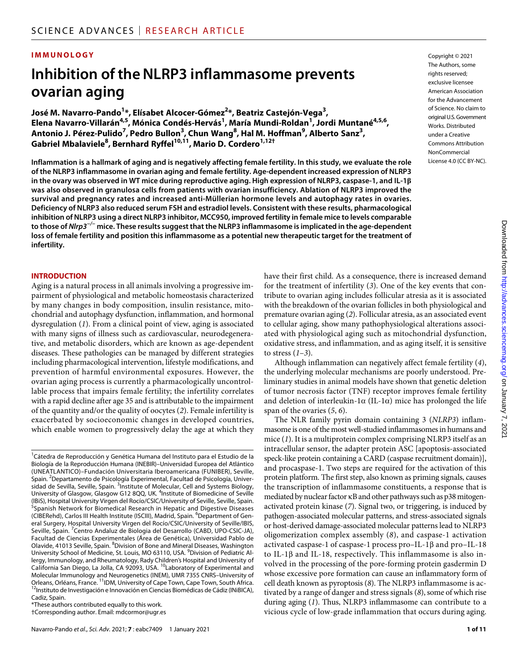#### **IMMUNOLOGY**

## **Inhibition oftheNLRP3 inflammasome prevents ovarian aging**

José M. Navarro-Pando<sup>1</sup>\*, Elísabet Alcocer-Gómez<sup>2</sup>\*, Beatriz Castejón-Vega<sup>3</sup>, **Elena Navarro-Villarán4,5, Mónica Condés-Hervás1 , María Mundi-Roldan1 , Jordi Muntané4,5,6,**   $^3$  Antonio J. Pérez-Pulido<sup>7</sup>, Pedro Bullon $^3$ , Chun Wang $^8$ , Hal M. Hoffman $^9$ , Alberto Sanz $^3$ , **Gabriel Mbalaviele8 , Bernhard Ryffel10,11, Mario D. Cordero1,12†**

**Inflammation is a hallmark of aging and is negatively affecting female fertility. In this study, we evaluate the role of the NLRP3 inflammasome in ovarian aging and female fertility. Age-dependent increased expression of NLRP3 in the ovary was observed in WT mice during reproductive aging. High expression of NLRP3, caspase-1, and IL-1 was also observed in granulosa cells from patients with ovarian insufficiency. Ablation of NLRP3 improved the survival and pregnancy rates and increased anti-Müllerian hormone levels and autophagy rates in ovaries. Deficiency of NLRP3 also reduced serum FSH and estradiol levels. Consistent with these results, pharmacological inhibition of NLRP3 using a direct NLRP3 inhibitor, MCC950, improved fertility in female mice to levels comparable to those of** *Nlrp3−/−* **mice. These results suggest that the NLRP3 inflammasome is implicated in the age-dependent loss of female fertility and position this inflammasome as a potential new therapeutic target for the treatment of infertility.**

#### **INTRODUCTION**

Aging is a natural process in all animals involving a progressive impairment of physiological and metabolic homeostasis characterized by many changes in body composition, insulin resistance, mitochondrial and autophagy dysfunction, inflammation, and hormonal dysregulation (*1*). From a clinical point of view, aging is associated with many signs of illness such as cardiovascular, neurodegenerative, and metabolic disorders, which are known as age-dependent diseases. These pathologies can be managed by different strategies including pharmacological intervention, lifestyle modifications, and prevention of harmful environmental exposures. However, the ovarian aging process is currently a pharmacologically uncontrollable process that impairs female fertility; the infertility correlates with a rapid decline after age 35 and is attributable to the impairment of the quantity and/or the quality of oocytes (*2*). Female infertility is exacerbated by socioeconomic changes in developed countries, which enable women to progressively delay the age at which they

\*These authors contributed equally to this work.

†Corresponding author. Email: mdcormor@ugr.es

Copyright © 2021 The Authors, some rights reserved: exclusive licensee American Association for the Advancement of Science. No claim to original U.S.Government Works. Distributed under a Creative Commons Attribution **NonCommercial** License 4.0 (CC BY-NC).

have their first child. As a consequence, there is increased demand for the treatment of infertility (*3*). One of the key events that contribute to ovarian aging includes follicular atresia as it is associated with the breakdown of the ovarian follicles in both physiological and premature ovarian aging (*2*). Follicular atresia, as an associated event to cellular aging, show many pathophysiological alterations associated with physiological aging such as mitochondrial dysfunction, oxidative stress, and inflammation, and as aging itself, it is sensitive to stress (*1*–*3*).

Although inflammation can negatively affect female fertility (*4*), the underlying molecular mechanisms are poorly understood. Preliminary studies in animal models have shown that genetic deletion of tumor necrosis factor (TNF) receptor improves female fertility and deletion of interleukin-1 $\alpha$  (IL-1 $\alpha$ ) mice has prolonged the life span of the ovaries (*5*, *6*).

The NLR family pyrin domain containing 3 (*NLRP3*) inflammasome is one of the most well-studied inflammasomes in humans and mice (*1*). It is a multiprotein complex comprising NLRP3 itself as an intracellular sensor, the adapter protein ASC [apoptosis-associated speck-like protein containing a CARD (caspase recruitment domain)], and procaspase-1. Two steps are required for the activation of this protein platform. The first step, also known as priming signals, causes the transcription of inflammasome constituents, a response that is mediated by nuclear factor  $\kappa$ B and other pathways such as p38 mitogenactivated protein kinase (*7*). Signal two, or triggering, is induced by pathogen-associated molecular patterns, and stress-associated signals or host-derived damage-associated molecular patterns lead to NLRP3 oligomerization complex assembly (*8*), and caspase-1 activation activated caspase-1 of caspase-1 process pro–IL-1 $\beta$  and pro–IL-18 to IL-1 $\beta$  and IL-18, respectively. This inflammasome is also involved in the processing of the pore-forming protein gasdermin D whose excessive pore formation can cause an inflammatory form of cell death known as pyroptosis (*8*). The NLRP3 inflammasome is activated by a range of danger and stress signals (*8*), some of which rise during aging (*1*). Thus, NLRP3 inflammasome can contribute to a vicious cycle of low-grade inflammation that occurs during aging.

<sup>&</sup>lt;sup>1</sup> Cátedra de Reproducción y Genética Humana del Instituto para el Estudio de la Biología de la Reproducción Humana (INEBIR)–Universidad Europea del Atlántico (UNEATLANTICO)–Fundación Universitaria Iberoamericana (FUNIBER), Seville, Spain. <sup>2</sup>Departamento de Psicología Experimental, Facultad de Psicología, Universidad de Sevilla, Seville, Spain. <sup>3</sup>Institute of Molecular, Cell and Systems Biology, University of Glasgow, Glasgow G12 8QQ, UK. <sup>4</sup>Institute of Biomedicine of Seville (IBiS), Hospital University Virgen del Rocío/CSIC/University of Seville, Seville, Spain. <sup>5</sup>Spanish Network for Biomedical Research in Hepatic and Digestive Diseases (CIBERehd), Carlos III Health Institute (ISCIII), Madrid, Spain. <sup>6</sup>Department of General Surgery, Hospital University Virgen del Rocío/CSIC/University of Seville/IBIS, Seville, Spain. <sup>7</sup> Centro Andaluz de Biologia del Desarrollo (CABD, UPO-CSIC-JA), Facultad de Ciencias Experimentales (Área de Genética), Universidad Pablo de Olavide, 41013 Seville, Spain. <sup>8</sup>Division of Bone and Mineral Diseases, Washington University School of Medicine, St. Louis, MO 63110, USA. <sup>9</sup>Division of Pediatric Allergy, Immunology, and Rheumatology, Rady Children's Hospital and University of California San Diego, La Jolla, CA 92093, USA. <sup>10</sup>Laboratory of Experimental and Molecular Immunology and Neurogenetics (INEM), UMR 7355 CNRS-University of Orleans, Orléans, France.<sup>11</sup>IDM, University of Cape Town, Cape Town, South Africa.  $^{12}$ Instituto de Investigación e Innovación en Ciencias Biomédicas de Cádiz (INiBICA), Cadiz, Spain.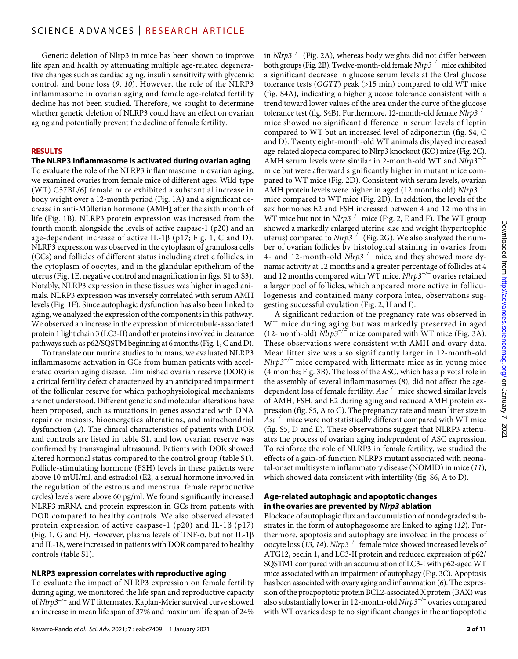Genetic deletion of Nlrp3 in mice has been shown to improve life span and health by attenuating multiple age-related degenerative changes such as cardiac aging, insulin sensitivity with glycemic control, and bone loss (*9*, *10*). However, the role of the NLRP3 inflammasome in ovarian aging and female age-related fertility decline has not been studied. Therefore, we sought to determine whether genetic deletion of NLRP3 could have an effect on ovarian aging and potentially prevent the decline of female fertility.

#### **RESULTS**

#### **The NLRP3 inflammasome is activated during ovarian aging**

To evaluate the role of the NLRP3 inflammasome in ovarian aging, we examined ovaries from female mice of different ages. Wild-type (WT) C57BL/6J female mice exhibited a substantial increase in body weight over a 12-month period (Fig. 1A) and a significant decrease in anti-Müllerian hormone (AMH) after the sixth month of life (Fig. 1B). NLRP3 protein expression was increased from the fourth month alongside the levels of active caspase-1 (p20) and an age-dependent increase of active IL-1 $\beta$  (p17; Fig. 1, C and D). NLRP3 expression was observed in the cytoplasm of granulosa cells (GCs) and follicles of different status including atretic follicles, in the cytoplasm of oocytes, and in the glandular epithelium of the uterus (Fig. 1E, negative control and magnification in figs. S1 to S3). Notably, NLRP3 expression in these tissues was higher in aged animals. NLRP3 expression was inversely correlated with serum AMH levels (Fig. 1F). Since autophagic dysfunction has also been linked to aging, we analyzed the expression of the components in this pathway. We observed an increase in the expression of microtubule-associated protein 1 light chain 3 (LC3-II) and other proteins involved in clearance pathways such as p62/SQSTM beginning at 6 months (Fig. 1, C and D).

To translate our murine studies to humans, we evaluated NLRP3 inflammasome activation in GCs from human patients with accelerated ovarian aging disease. Diminished ovarian reserve (DOR) is a critical fertility defect characterized by an anticipated impairment of the follicular reserve for which pathophysiological mechanisms are not understood. Different genetic and molecular alterations have been proposed, such as mutations in genes associated with DNA repair or meiosis, bioenergetics alterations, and mitochondrial dysfunction (*2*). The clinical characteristics of patients with DOR and controls are listed in table S1, and low ovarian reserve was confirmed by transvaginal ultrasound. Patients with DOR showed altered hormonal status compared to the control group (table S1). Follicle-stimulating hormone (FSH) levels in these patients were above 10 mUI/ml, and estradiol (E2; a sexual hormone involved in the regulation of the estrous and menstrual female reproductive cycles) levels were above 60 pg/ml. We found significantly increased NLRP3 mRNA and protein expression in GCs from patients with DOR compared to healthy controls. We also observed elevated protein expression of active caspase-1 (p20) and IL-1 $\beta$  (p17) (Fig. 1, G and H). However, plasma levels of TNF- $\alpha$ , but not IL-1 $\beta$ and IL-18, were increased in patients with DOR compared to healthy controls (table S1).

#### **NLRP3 expression correlates with reproductive aging**

To evaluate the impact of NLRP3 expression on female fertility during aging, we monitored the life span and reproductive capacity of *Nlrp3−/−* and WT littermates. Kaplan-Meier survival curve showed an increase in mean life span of 37% and maximum life span of 24% in *Nlrp3−/−* (Fig. 2A), whereas body weights did not differ between both groups (Fig. 2B). Twelve-month-old female *Nlrp3−/−* mice exhibited a significant decrease in glucose serum levels at the Oral glucose tolerance tests (*OGTT*) peak (>15 min) compared to old WT mice (fig. S4A), indicating a higher glucose tolerance consistent with a trend toward lower values of the area under the curve of the glucose tolerance test (fig. S4B). Furthermore, 12-month-old female *Nlrp3−/−* mice showed no significant difference in serum levels of leptin compared to WT but an increased level of adiponectin (fig. S4, C and D). Twenty eight-month-old WT animals displayed increased age-related alopecia compared to Nlrp3 knockout (KO) mice (Fig. 2C). AMH serum levels were similar in 2-month-old WT and *Nlrp3−/−* mice but were afterward significantly higher in mutant mice compared to WT mice (Fig. 2D). Consistent with serum levels, ovarian AMH protein levels were higher in aged (12 months old) *Nlrp3−/−* mice compared to WT mice (Fig. 2D). In addition, the levels of the sex hormones E2 and FSH increased between 4 and 12 months in WT mice but not in *Nlrp3−/−* mice (Fig. 2, E and F). The WT group showed a markedly enlarged uterine size and weight (hypertrophic uterus) compared to *Nlrp3−/−* (Fig. 2G). We also analyzed the number of ovarian follicles by histological staining in ovaries from 4- and 12-month-old *Nlrp3−/−* mice, and they showed more dynamic activity at 12 months and a greater percentage of follicles at 4 and 12 months compared with WT mice. *Nlrp3−/−* ovaries retained a larger pool of follicles, which appeared more active in folliculogenesis and contained many corpora lutea, observations suggesting successful ovulation (Fig. 2, H and I).

A significant reduction of the pregnancy rate was observed in WT mice during aging but was markedly preserved in aged (12-month-old) *Nlrp3−/−* mice compared with WT mice (Fig. 3A). These observations were consistent with AMH and ovary data. Mean litter size was also significantly larger in 12-month-old *Nlrp3−/−* mice compared with littermate mice as in young mice (4 months; Fig. 3B). The loss of the ASC, which has a pivotal role in the assembly of several inflammasomes (*8*), did not affect the agedependent loss of female fertility. *Asc−/−* mice showed similar levels of AMH, FSH, and E2 during aging and reduced AMH protein expression (fig. S5, A to C). The pregnancy rate and mean litter size in *Asc−/−* mice were not statistically different compared with WT mice (fig. S5, D and E). These observations suggest that NLRP3 attenuates the process of ovarian aging independent of ASC expression. To reinforce the role of NLRP3 in female fertility, we studied the effects of a gain-of-function NLRP3 mutant associated with neonatal-onset multisystem inflammatory disease (NOMID) in mice (*11*), which showed data consistent with infertility (fig. S6, A to D).

#### **Age-related autophagic and apoptotic changes in the ovaries are prevented by** *Nlrp3* **ablation**

Blockade of autophagic flux and accumulation of nondegraded substrates in the form of autophagosome are linked to aging (*12*). Furthermore, apoptosis and autophagy are involved in the process of oocyte loss (*13*, *14*). *Nlrp3−/−* female mice showed increased levels of ATG12, beclin 1, and LC3-II protein and reduced expression of p62/ SQSTM1 compared with an accumulation of LC3-I with p62-aged WT mice associated with an impairment of autophagy (Fig. 3C). Apoptosis has been associated with ovary aging and inflammation (*6*). The expression of the proapoptotic protein BCL2-associated X protein (BAX) was also substantially lower in 12-month-old *Nlrp3−/−* ovaries compared with WT ovaries despite no significant changes in the antiapoptotic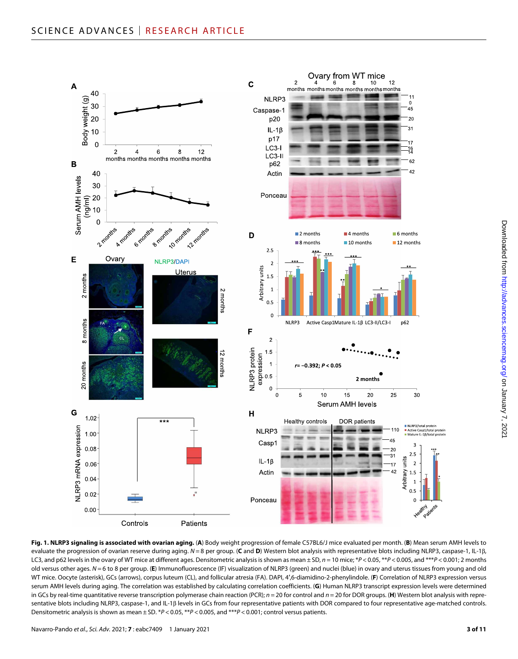

**Fig. 1. NLRP3 signaling is associated with ovarian aging.** (**A**) Body weight progression of female C57BL6/J mice evaluated per month. (**B**) Mean serum AMH levels to evaluate the progression of ovarian reserve during aging.  $N = 8$  per group. (C and D) Western blot analysis with representative blots including NLRP3, caspase-1, IL-1 $\beta$ , LC3, and p62 levels in the ovary of WT mice at different ages. Densitometric analysis is shown as mean ± SD, *n* = 10 mice; \**P* < 0.05, \*\**P* < 0.005, and \*\*\**P* < 0.001; 2 months old versus other ages. *N* = 6 to 8 per group. (**E**) Immunofluorescence (IF) visualization of NLRP3 (green) and nuclei (blue) in ovary and uterus tissues from young and old WT mice. Oocyte (asterisk), GCs (arrows), corpus luteum (CL), and follicular atresia (FA). DAPI, 4′,6-diamidino-2-phenylindole. (**F**) Correlation of NLRP3 expression versus serum AMH levels during aging. The correlation was established by calculating correlation coefficients. (**G**) Human NLRP3 transcript expression levels were determined in GCs by real-time quantitative reverse transcription polymerase chain reaction (PCR); *n* = 20 for control and *n* = 20 for DOR groups. (**H**) Western blot analysis with representative blots including NLRP3, caspase-1, and IL-1ß levels in GCs from four representative patients with DOR compared to four representative age-matched controls. Densitometric analysis is shown as mean ± SD. \**P* < 0.05, \*\**P* < 0.005, and \*\*\**P* < 0.001; control versus patients.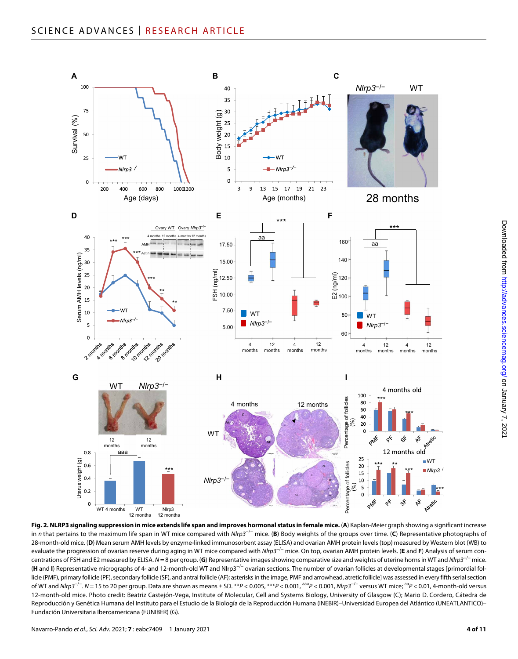

**Fig. 2. NLRP3 signaling suppression in mice extends life span and improves hormonal status in female mice.** (**A**) Kaplan-Meier graph showing a significant increase in *n* that pertains to the maximum life span in WT mice compared with *Nlrp3*−/− mice. (**B**) Body weights of the groups over time. (**C**) Representative photographs of 28-month-old mice. (**D**) Mean serum AMH levels by enzyme-linked immunosorbent assay (ELISA) and ovarian AMH protein levels (top) measured by Western blot (WB) to evaluate the progression of ovarian reserve during aging in WT mice compared with *Nlrp3*−/− mice. On top, ovarian AMH protein levels. (**E** and **F**) Analysis of serum concentrations of FSH and E2 measured by ELISA. *N* = 8 per group. (**G**) Representative images showing comparative size and weights of uterine horns in WT and *Nlrp3*−/− mice. (**H** and **I**) Representative micrographs of 4- and 12-month-old WT and Nlrp3−/− ovarian sections. The number of ovarian follicles at developmental stages [primordial follicle (PMF), primary follicle (PF), secondary follicle (SF), and antral follicle (AF); asterisks in the image, PMF and arrowhead, atretic follicle] was assessed in every fifth serial section of WT and *Nlrp3*−/−. *N* = 15 to 20 per group. Data are shown as means ± SD. \*\**P* < 0.005, \*\*\**P* < 0.001, aaa*P* < 0.001, *Nlrp3*−/− versus WT mice; aa*P* < 0.01, 4-month-old versus 12-month-old mice. Photo credit: Beatriz Castejón-Vega, Institute of Molecular, Cell and Systems Biology, University of Glasgow (C); Mario D. Cordero, Cátedra de Reproducción y Genética Humana del Instituto para el Estudio de la Biología de la Reproducción Humana (INEBIR)–Universidad Europea del Atlántico (UNEATLANTICO)– Fundación Universitaria Iberoamericana (FUNIBER) (G).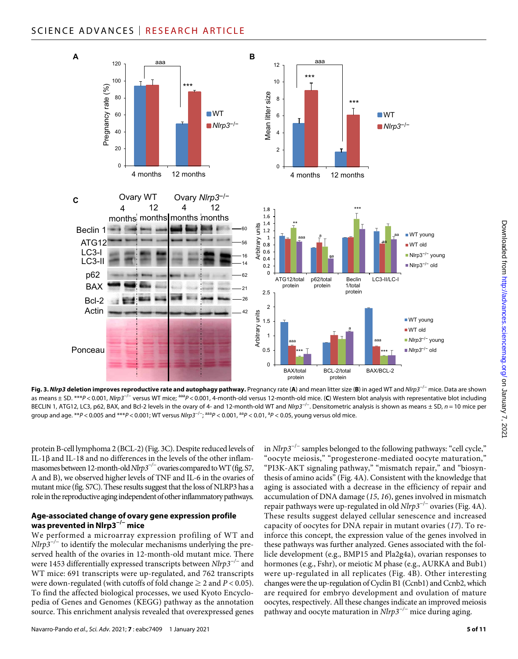### SCIENCE ADVANCES | RESEARCH ARTICLE



**Fig. 3.** *Nlrp3* **deletion improves reproductive rate and autophagy pathway.** Pregnancy rate (**A**) and mean litter size (**B**) in aged WT and *Nlrp3*−/− mice. Data are shown as means ± SD. \*\*\**P* < 0.001, *Nlrp3*−/− versus WT mice; aaa*P* < 0.001, 4-month-old versus 12-month-old mice. (**C**) Western blot analysis with representative blot including BECLIN 1, ATG12, LC3, p62, BAX, and Bcl-2 levels in the ovary of 4- and 12-month-old WT and *Nlrp3*−/−. Densitometric analysis is shown as means ± SD, *n* = 10 mice per group and age. \*\**P* < 0.005 and \*\*\**P* < 0.001; WT versus *Nlrp3*−/−; aaa*P* < 0.001, aa*P* < 0.01, a *P* < 0.05, young versus old mice.

protein B-cell lymphoma 2 (BCL-2) (Fig. 3C). Despite reduced levels of IL-1 $\beta$  and IL-18 and no differences in the levels of the other inflammasomes between 12-month-old *Nlrp3−/−* ovaries compared to WT (fig. S7, A and B), we observed higher levels of TNF and IL-6 in the ovaries of mutant mice (fig. S7C). These results suggest that the loss of NLRP3 has a role in the reproductive aging independent of other inflammatory pathways.

#### **Age-associated change of ovary gene expression profile was prevented inNlrp3−/− mice**

We performed a microarray expression profiling of WT and *Nlrp3<sup>-/−</sup>* to identify the molecular mechanisms underlying the preserved health of the ovaries in 12-month-old mutant mice. There were 1453 differentially expressed transcripts between *Nlrp3−/−* and WT mice: 691 transcripts were up-regulated, and 762 transcripts were down-regulated (with cutoffs of fold change  $\geq 2$  and  $P < 0.05$ ). To find the affected biological processes, we used Kyoto Encyclopedia of Genes and Genomes (KEGG) pathway as the annotation source. This enrichment analysis revealed that overexpressed genes

in *Nlrp3*−/− samples belonged to the following pathways: "cell cycle," "oocyte meiosis," "progesterone-mediated oocyte maturation," "PI3K-AKT signaling pathway," "mismatch repair," and "biosynthesis of amino acids" (Fig. 4A). Consistent with the knowledge that aging is associated with a decrease in the efficiency of repair and accumulation of DNA damage (*15*, *16*), genes involved in mismatch repair pathways were up-regulated in old *Nlrp3*−/− ovaries (Fig. 4A). These results suggest delayed cellular senescence and increased capacity of oocytes for DNA repair in mutant ovaries (*17*). To reinforce this concept, the expression value of the genes involved in these pathways was further analyzed. Genes associated with the follicle development (e.g., BMP15 and Pla2g4a), ovarian responses to hormones (e.g., Fshr), or meiotic M phase (e.g., AURKA and Bub1) were up-regulated in all replicates (Fig. 4B). Other interesting changes were the up-regulation of Cyclin B1 (Ccnb1) and Ccnb2, which are required for embryo development and ovulation of mature oocytes, respectively. All these changes indicate an improved meiosis pathway and oocyte maturation in *Nlrp3−/−* mice during aging.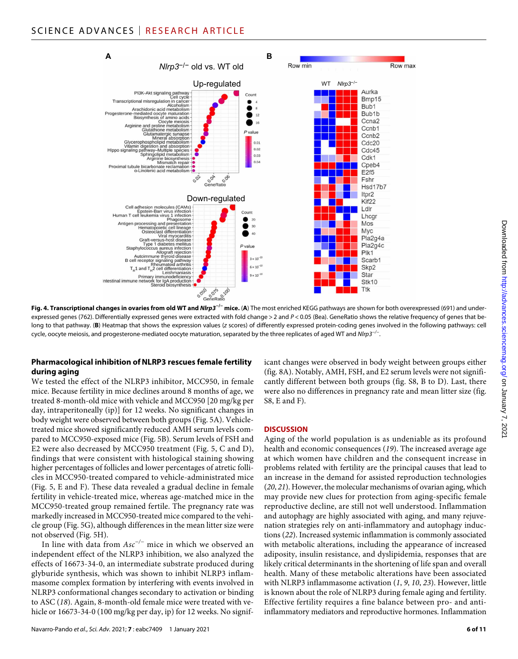

**Fig. 4. Transcriptional changes in ovaries from old WT and** *Nlrp3***−/− mice.** (**A**) The most enriched KEGG pathways are shown for both overexpressed (691) and underexpressed genes (762). Differentially expressed genes were extracted with fold change > 2 and  $P < 0.05$  (Bea). GeneRatio shows the relative frequency of genes that belong to that pathway. (**B**) Heatmap that shows the expression values (*z* scores) of differently expressed protein-coding genes involved in the following pathways: cell cycle, oocyte meiosis, and progesterone-mediated oocyte maturation, separated by the three replicates of aged WT and *Nlrp3−/−*.

#### **Pharmacological inhibition ofNLRP3 rescues female fertility during aging**

We tested the effect of the NLRP3 inhibitor, MCC950, in female mice. Because fertility in mice declines around 8 months of age, we treated 8-month-old mice with vehicle and MCC950 [20 mg/kg per day, intraperitoneally (ip)] for 12 weeks. No significant changes in body weight were observed between both groups (Fig. 5A). Vehicletreated mice showed significantly reduced AMH serum levels compared to MCC950-exposed mice (Fig. 5B). Serum levels of FSH and E2 were also decreased by MCC950 treatment (Fig. 5, C and D), findings that were consistent with histological staining showing higher percentages of follicles and lower percentages of atretic follicles in MCC950-treated compared to vehicle-administrated mice (Fig. 5, E and F). These data revealed a gradual decline in female fertility in vehicle-treated mice, whereas age-matched mice in the MCC950-treated group remained fertile. The pregnancy rate was markedly increased in MCC950-treated mice compared to the vehicle group (Fig. 5G), although differences in the mean litter size were not observed (Fig. 5H).

In line with data from *Asc−/−* mice in which we observed an independent effect of the NLRP3 inhibition, we also analyzed the effects of 16673-34-0, an intermediate substrate produced during glyburide synthesis, which was shown to inhibit NLRP3 inflammasome complex formation by interfering with events involved in NLRP3 conformational changes secondary to activation or binding to ASC (*18*). Again, 8-month-old female mice were treated with vehicle or 16673-34-0 (100 mg/kg per day, ip) for 12 weeks. No signif-

icant changes were observed in body weight between groups either (fig. 8A). Notably, AMH, FSH, and E2 serum levels were not significantly different between both groups (fig. S8, B to D). Last, there were also no differences in pregnancy rate and mean litter size (fig. S8, E and F).

#### **DISCUSSION**

Aging of the world population is as undeniable as its profound health and economic consequences (*19*). The increased average age at which women have children and the consequent increase in problems related with fertility are the principal causes that lead to an increase in the demand for assisted reproduction technologies (*20*, *21*). However, the molecular mechanisms of ovarian aging, which may provide new clues for protection from aging-specific female reproductive decline, are still not well understood. Inflammation and autophagy are highly associated with aging, and many rejuvenation strategies rely on anti-inflammatory and autophagy inductions (*22*). Increased systemic inflammation is commonly associated with metabolic alterations, including the appearance of increased adiposity, insulin resistance, and dyslipidemia, responses that are likely critical determinants in the shortening of life span and overall health. Many of these metabolic alterations have been associated with NLRP3 inflammasome activation (*1*, *9*, *10*, *23*). However, little is known about the role of NLRP3 during female aging and fertility. Effective fertility requires a fine balance between pro- and antiinflammatory mediators and reproductive hormones. Inflammation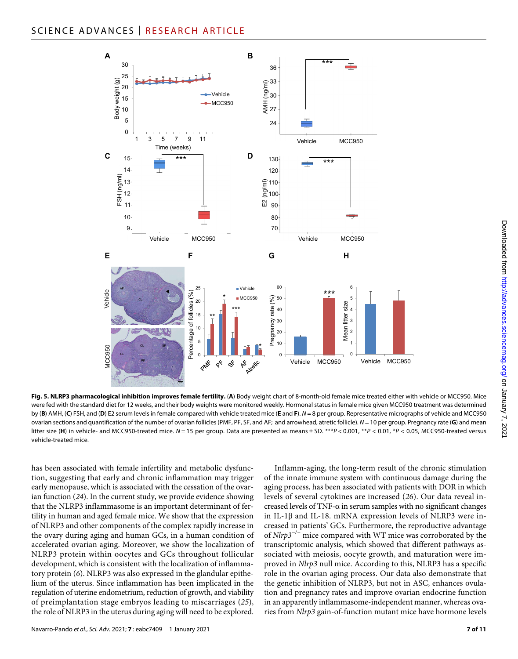

**Fig. 5. NLRP3 pharmacological inhibition improves female fertility.** (**A**) Body weight chart of 8-month-old female mice treated either with vehicle or MCC950. Mice were fed with the standard diet for 12 weeks, and their body weights were monitored weekly. Hormonal status in female mice given MCC950 treatment was determined by (**B**) AMH, (**C**) FSH, and (**D**) E2 serum levels in female compared with vehicle treated mice (**E** and **F**). *N* = 8 per group. Representative micrographs of vehicle and MCC950 ovarian sections and quantification of the number of ovarian follicles (PMF, PF, SF, and AF; and arrowhead, atretic follicle). *N* = 10 per group. Pregnancy rate (**G**) and mean litter size (H) in vehicle- and MCC950-treated mice.  $N = 15$  per group. Data are presented as means ± SD. \*\*\* $P < 0.001$ , \* $P < 0.01$ , \* $P < 0.05$ , MCC950-treated versus vehicle-treated mice.

has been associated with female infertility and metabolic dysfunction, suggesting that early and chronic inflammation may trigger early menopause, which is associated with the cessation of the ovarian function (*24*). In the current study, we provide evidence showing that the NLRP3 inflammasome is an important determinant of fertility in human and aged female mice. We show that the expression of NLRP3 and other components of the complex rapidly increase in the ovary during aging and human GCs, in a human condition of accelerated ovarian aging. Moreover, we show the localization of NLRP3 protein within oocytes and GCs throughout follicular development, which is consistent with the localization of inflammatory protein (*6*). NLRP3 was also expressed in the glandular epithelium of the uterus. Since inflammation has been implicated in the regulation of uterine endometrium, reduction of growth, and viability of preimplantation stage embryos leading to miscarriages (*25*), the role of NLRP3 in the uterus during aging will need to be explored.

Inflamm-aging, the long-term result of the chronic stimulation of the innate immune system with continuous damage during the aging process, has been associated with patients with DOR in which levels of several cytokines are increased (*26*). Our data reveal increased levels of TNF- $\alpha$  in serum samples with no significant changes in IL-1 $\beta$  and IL-18. mRNA expression levels of NLRP3 were increased in patients' GCs. Furthermore, the reproductive advantage of *Nlrp3−/−* mice compared with WT mice was corroborated by the transcriptomic analysis, which showed that different pathways associated with meiosis, oocyte growth, and maturation were improved in *Nlrp3* null mice. According to this, NLRP3 has a specific role in the ovarian aging process. Our data also demonstrate that the genetic inhibition of NLRP3, but not in ASC, enhances ovulation and pregnancy rates and improve ovarian endocrine function in an apparently inflammasome-independent manner, whereas ovaries from *Nlrp3* gain-of-function mutant mice have hormone levels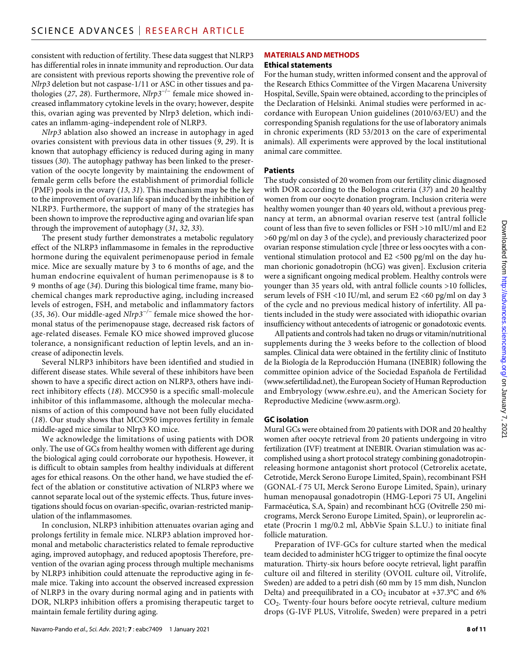consistent with reduction of fertility. These data suggest that NLRP3 has differential roles in innate immunity and reproduction. Our data are consistent with previous reports showing the preventive role of *Nlrp3* deletion but not caspase-1/11 or ASC in other tissues and pathologies (*27*, *28*). Furthermore, *Nlrp3*−/− female mice showed increased inflammatory cytokine levels in the ovary; however, despite this, ovarian aging was prevented by Nlrp3 deletion, which indicates an inflamm-aging–independent role of NLRP3.

*Nlrp3* ablation also showed an increase in autophagy in aged ovaries consistent with previous data in other tissues (*9*, *29*). It is known that autophagy efficiency is reduced during aging in many tissues (*30*). The autophagy pathway has been linked to the preservation of the oocyte longevity by maintaining the endowment of female germ cells before the establishment of primordial follicle (PMF) pools in the ovary (*13*, *31*). This mechanism may be the key to the improvement of ovarian life span induced by the inhibition of NLRP3. Furthermore, the support of many of the strategies has been shown to improve the reproductive aging and ovarian life span through the improvement of autophagy (*31*, *32*, *33*).

The present study further demonstrates a metabolic regulatory effect of the NLRP3 inflammasome in females in the reproductive hormone during the equivalent perimenopause period in female mice. Mice are sexually mature by 3 to 6 months of age, and the human endocrine equivalent of human perimenopause is 8 to 9 months of age (*34*). During this biological time frame, many biochemical changes mark reproductive aging, including increased levels of estrogen, FSH, and metabolic and inflammatory factors (*35*, *36*). Our middle-aged *Nlrp3−/−* female mice showed the hormonal status of the perimenopause stage, decreased risk factors of age-related diseases. Female KO mice showed improved glucose tolerance, a nonsignificant reduction of leptin levels, and an increase of adiponectin levels.

Several NLRP3 inhibitors have been identified and studied in different disease states. While several of these inhibitors have been shown to have a specific direct action on NLRP3, others have indirect inhibitory effects (*18*). MCC950 is a specific small-molecule inhibitor of this inflammasome, although the molecular mechanisms of action of this compound have not been fully elucidated (*18*). Our study shows that MCC950 improves fertility in female middle-aged mice similar to Nlrp3 KO mice.

We acknowledge the limitations of using patients with DOR only. The use of GCs from healthy women with different age during the biological aging could corroborate our hypothesis. However, it is difficult to obtain samples from healthy individuals at different ages for ethical reasons. On the other hand, we have studied the effect of the ablation or constitutive activation of NLRP3 where we cannot separate local out of the systemic effects. Thus, future investigations should focus on ovarian-specific, ovarian-restricted manipulation of the inflammasomes.

In conclusion, NLRP3 inhibition attenuates ovarian aging and prolongs fertility in female mice. NLRP3 ablation improved hormonal and metabolic characteristics related to female reproductive aging, improved autophagy, and reduced apoptosis Therefore, prevention of the ovarian aging process through multiple mechanisms by NLRP3 inhibition could attenuate the reproductive aging in female mice. Taking into account the observed increased expression of NLRP3 in the ovary during normal aging and in patients with DOR, NLRP3 inhibition offers a promising therapeutic target to maintain female fertility during aging.

#### **Ethical statements**

For the human study, written informed consent and the approval of the Research Ethics Committee of the Virgen Macarena University Hospital, Seville, Spain were obtained, according to the principles of the Declaration of Helsinki. Animal studies were performed in accordance with European Union guidelines (2010/63/EU) and the corresponding Spanish regulations for the use of laboratory animals in chronic experiments (RD 53/2013 on the care of experimental animals). All experiments were approved by the local institutional animal care committee.

#### **Patients**

The study consisted of 20 women from our fertility clinic diagnosed with DOR according to the Bologna criteria (*37*) and 20 healthy women from our oocyte donation program. Inclusion criteria were healthy women younger than 40 years old, without a previous pregnancy at term, an abnormal ovarian reserve test (antral follicle count of less than five to seven follicles or FSH >10 mIU/ml and E2 >60 pg/ml on day 3 of the cycle), and previously characterized poor ovarian response stimulation cycle [three or less oocytes with a conventional stimulation protocol and E2 <500 pg/ml on the day human chorionic gonadotropin (hCG) was given]. Exclusion criteria were a significant ongoing medical problem. Healthy controls were younger than 35 years old, with antral follicle counts >10 follicles, serum levels of FSH <10 IU/ml, and serum E2 <60 pg/ml on day 3 of the cycle and no previous medical history of infertility. All patients included in the study were associated with idiopathic ovarian insufficiency without antecedents of iatrogenic or gonadotoxic events.

All patients and controls had taken no drugs or vitamin/nutritional supplements during the 3 weeks before to the collection of blood samples. Clinical data were obtained in the fertility clinic of Instituto de la Biología de la Reproducción Humana (INEBIR) following the committee opinion advice of the Sociedad Española de Fertilidad [\(www.sefertilidad.net\)](http://www.sefertilidad.net), the European Society of Human Reproduction and Embryology ([www.eshre.eu\)](http://www.eshre.eu), and the American Society for Reproductive Medicine [\(www.asrm.org\)](http://www.asrm.org).

#### **GC isolation**

Mural GCs were obtained from 20 patients with DOR and 20 healthy women after oocyte retrieval from 20 patients undergoing in vitro fertilization (IVF) treatment at INEBIR. Ovarian stimulation was accomplished using a short protocol strategy combining gonadotropinreleasing hormone antagonist short protocol (Cetrorelix acetate, Cetrotide, Merck Serono Europe Limited, Spain), recombinant FSH (GONAL-f 75 UI, Merck Serono Europe Limited, Spain), urinary human menopausal gonadotropin (HMG-Lepori 75 UI, Angelini Farmacéutica, S.A, Spain) and recombinant hCG (Ovitrelle 250 micrograms, Merck Serono Europe Limited, Spain), or leuprorelin acetate (Procrin 1 mg/0.2 ml, AbbVie Spain S.L.U.) to initiate final follicle maturation.

Preparation of IVF-GCs for culture started when the medical team decided to administer hCG trigger to optimize the final oocyte maturation. Thirty-six hours before oocyte retrieval, light paraffin culture oil and filtered in sterility (OVOIL culture oil, Vitrolife, Sweden) are added to a petri dish (60 mm by 15 mm dish, Nunclon Delta) and preequilibrated in a  $CO<sub>2</sub>$  incubator at +37.3°C and 6% CO2. Twenty-four hours before oocyte retrieval, culture medium drops (G-IVF PLUS, Vitrolife, Sweden) were prepared in a petri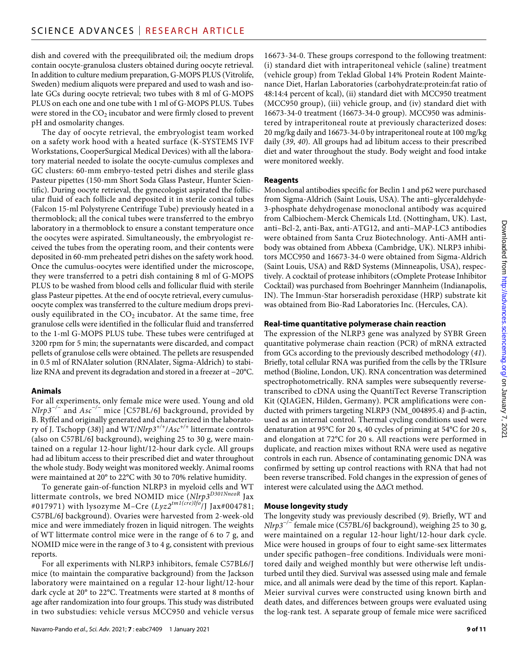dish and covered with the preequilibrated oil; the medium drops contain oocyte-granulosa clusters obtained during oocyte retrieval. In addition to culture medium preparation, G-MOPS PLUS (Vitrolife, Sweden) medium aliquots were prepared and used to wash and isolate GCs during oocyte retrieval; two tubes with 8 ml of G-MOPS PLUS on each one and one tube with 1 ml of G-MOPS PLUS. Tubes were stored in the  $CO<sub>2</sub>$  incubator and were firmly closed to prevent pH and osmolarity changes.

The day of oocyte retrieval, the embryologist team worked on a safety work hood with a heated surface (K-SYSTEMS IVF Workstations, CooperSurgical Medical Devices) with all the laboratory material needed to isolate the oocyte-cumulus complexes and GC clusters: 60-mm embryo-tested petri dishes and sterile glass Pasteur pipettes (150-mm Short Soda Glass Pasteur, Hunter Scientific). During oocyte retrieval, the gynecologist aspirated the follicular fluid of each follicle and deposited it in sterile conical tubes (Falcon 15-ml Polystyrene Centrifuge Tube) previously heated in a thermoblock; all the conical tubes were transferred to the embryo laboratory in a thermoblock to ensure a constant temperature once the oocytes were aspirated. Simultaneously, the embryologist received the tubes from the operating room, and their contents were deposited in 60-mm preheated petri dishes on the safety work hood. Once the cumulus-oocytes were identified under the microscope, they were transferred to a petri dish containing 8 ml of G-MOPS PLUS to be washed from blood cells and follicular fluid with sterile glass Pasteur pipettes. At the end of oocyte retrieval, every cumulusoocyte complex was transferred to the culture medium drops previously equilibrated in the  $CO<sub>2</sub>$  incubator. At the same time, free granulose cells were identified in the follicular fluid and transferred to the 1-ml G-MOPS PLUS tube. These tubes were centrifuged at 3200 rpm for 5 min; the supernatants were discarded, and compact pellets of granulose cells were obtained. The pellets are resuspended in 0.5 ml of RNAlater solution (RNAlater, Sigma-Aldrich) to stabilize RNA and prevent its degradation and stored in a freezer at −20°C.

#### **Animals**

For all experiments, only female mice were used. Young and old *Nlrp3−/−* and *Asc−/−* mice [C57BL/6J background, provided by B. Ryffel and originally generated and characterized in the laboratory of J. Tschopp (*38*)] and WT/*Nlrp3+/+*/*Asc+/+* littermate controls (also on C57BL/6J background), weighing 25 to 30 g, were maintained on a regular 12-hour light/12-hour dark cycle. All groups had ad libitum access to their prescribed diet and water throughout the whole study. Body weight was monitored weekly. Animal rooms were maintained at 20° to 22°C with 30 to 70% relative humidity.

To generate gain-of-function NLRP3 in myeloid cells and WT littermate controls, we bred NOMID mice (*Nlrp3D301NneoR* Jax #017971) with lysozyme M–Cre (*Lyz2tm1(cre)Ifo*/J Jax#004781; C57BL/6J background). Ovaries were harvested from 2-week-old mice and were immediately frozen in liquid nitrogen. The weights of WT littermate control mice were in the range of 6 to 7 g, and NOMID mice were in the range of 3 to 4 g, consistent with previous reports.

For all experiments with NLRP3 inhibitors, female C57BL6/J mice (to maintain the comparative background) from the Jackson laboratory were maintained on a regular 12-hour light/12-hour dark cycle at 20° to 22°C. Treatments were started at 8 months of age after randomization into four groups. This study was distributed in two substudies: vehicle versus MCC950 and vehicle versus

16673-34-0. These groups correspond to the following treatment: (i) standard diet with intraperitoneal vehicle (saline) treatment (vehicle group) from Teklad Global 14% Protein Rodent Maintenance Diet, Harlan Laboratories (carbohydrate:protein:fat ratio of 48:14:4 percent of kcal), (ii) standard diet with MCC950 treatment (MCC950 group), (iii) vehicle group, and (iv) standard diet with 16673-34-0 treatment (16673-34-0 group). MCC950 was administered by intraperitoneal route at previously characterized doses: 20 mg/kg daily and 16673-34-0 by intraperitoneal route at 100 mg/kg daily (*39*, *40*). All groups had ad libitum access to their prescribed diet and water throughout the study. Body weight and food intake were monitored weekly.

#### **Reagents**

Monoclonal antibodies specific for Beclin 1 and p62 were purchased from Sigma-Aldrich (Saint Louis, USA). The anti–glyceraldehyde-3-phosphate dehydrogenase monoclonal antibody was acquired from Calbiochem-Merck Chemicals Ltd. (Nottingham, UK). Last, anti–Bcl-2, anti-Bax, anti-ATG12, and anti–MAP-LC3 antibodies were obtained from Santa Cruz Biotechnology. Anti-AMH antibody was obtained from Abbexa (Cambridge, UK). NLRP3 inhibitors MCC950 and 16673-34-0 were obtained from Sigma-Aldrich (Saint Louis, USA) and R&D Systems (Minneapolis, USA), respectively. A cocktail of protease inhibitors (cOmplete Protease Inhibitor Cocktail) was purchased from Boehringer Mannheim (Indianapolis, IN). The Immun-Star horseradish peroxidase (HRP) substrate kit was obtained from Bio-Rad Laboratories Inc. (Hercules, CA).

#### **Real-time quantitative polymerase chain reaction**

The expression of the NLRP3 gene was analyzed by SYBR Green quantitative polymerase chain reaction (PCR) of mRNA extracted from GCs according to the previously described methodology (*41*). Briefly, total cellular RNA was purified from the cells by the TRIsure method (Bioline, London, UK). RNA concentration was determined spectrophotometrically. RNA samples were subsequently reversetranscribed to cDNA using the QuantiTect Reverse Transcription Kit (QIAGEN, Hilden, Germany). PCR amplifications were conducted with primers targeting NLRP3 (NM\_004895.4) and  $\beta$ -actin, used as an internal control. Thermal cycling conditions used were denaturation at 95°C for 20 s, 40 cycles of priming at 54°C for 20 s, and elongation at 72°C for 20 s. All reactions were performed in duplicate, and reaction mixes without RNA were used as negative controls in each run. Absence of contaminating genomic DNA was confirmed by setting up control reactions with RNA that had not been reverse transcribed. Fold changes in the expression of genes of interest were calculated using the  $\Delta\Delta$ Ct method.

#### **Mouse longevity study**

The longevity study was previously described (*9*). Briefly, WT and *Nlrp3−/−* female mice (C57BL/6J background), weighing 25 to 30 g, were maintained on a regular 12-hour light/12-hour dark cycle. Mice were housed in groups of four to eight same-sex littermates under specific pathogen–free conditions. Individuals were monitored daily and weighed monthly but were otherwise left undisturbed until they died. Survival was assessed using male and female mice, and all animals were dead by the time of this report. Kaplan-Meier survival curves were constructed using known birth and death dates, and differences between groups were evaluated using the log-rank test. A separate group of female mice were sacrificed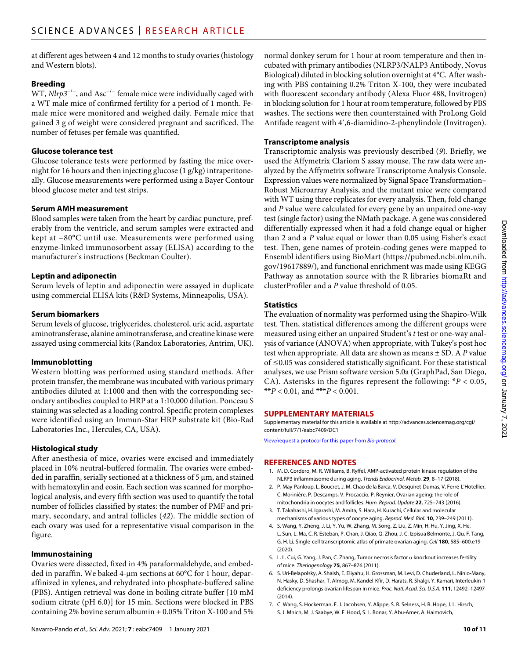at different ages between 4 and 12 months to study ovaries (histology and Western blots).

#### **Breeding**

WT, *Nlrp3<sup>-/-</sup>*, and Asc<sup>-/-</sup> female mice were individually caged with a WT male mice of confirmed fertility for a period of 1 month. Female mice were monitored and weighed daily. Female mice that gained 3 g of weight were considered pregnant and sacrificed. The number of fetuses per female was quantified.

#### **Glucose tolerance test**

Glucose tolerance tests were performed by fasting the mice overnight for 16 hours and then injecting glucose (1 g/kg) intraperitoneally. Glucose measurements were performed using a Bayer Contour blood glucose meter and test strips.

#### **Serum AMH measurement**

Blood samples were taken from the heart by cardiac puncture, preferably from the ventricle, and serum samples were extracted and kept at −80°C until use. Measurements were performed using enzyme-linked immunosorbent assay (ELISA) according to the manufacturer's instructions (Beckman Coulter).

#### **Leptin and adiponectin**

Serum levels of leptin and adiponectin were assayed in duplicate using commercial ELISA kits (R&D Systems, Minneapolis, USA).

#### **Serum biomarkers**

Serum levels of glucose, triglycerides, cholesterol, uric acid, aspartate aminotransferase, alanine aminotransferase, and creatine kinase were assayed using commercial kits (Randox Laboratories, Antrim, UK).

#### **Immunoblotting**

Western blotting was performed using standard methods. After protein transfer, the membrane was incubated with various primary antibodies diluted at 1:1000 and then with the corresponding secondary antibodies coupled to HRP at a 1:10,000 dilution. Ponceau S staining was selected as a loading control. Specific protein complexes were identified using an Immun-Star HRP substrate kit (Bio-Rad Laboratories Inc., Hercules, CA, USA).

#### **Histological study**

After anesthesia of mice, ovaries were excised and immediately placed in 10% neutral-buffered formalin. The ovaries were embedded in paraffin, serially sectioned at a thickness of  $5 \mu m$ , and stained with hematoxylin and eosin. Each section was scanned for morphological analysis, and every fifth section was used to quantify the total number of follicles classified by states: the number of PMF and primary, secondary, and antral follicles (*42*). The middle section of each ovary was used for a representative visual comparison in the figure.

#### **Immunostaining**

Ovaries were dissected, fixed in 4% paraformaldehyde, and embedded in paraffin. We baked 4-µm sections at 60°C for 1 hour, deparaffinized in xylenes, and rehydrated into phosphate-buffered saline (PBS). Antigen retrieval was done in boiling citrate buffer [10 mM sodium citrate (pH 6.0)] for 15 min. Sections were blocked in PBS containing 2% bovine serum albumin + 0.05% Triton X-100 and 5%

normal donkey serum for 1 hour at room temperature and then incubated with primary antibodies (NLRP3/NALP3 Antibody, Novus Biological) diluted in blocking solution overnight at 4°C. After washing with PBS containing 0.2% Triton X-100, they were incubated with fluorescent secondary antibody (Alexa Fluor 488, Invitrogen) in blocking solution for 1 hour at room temperature, followed by PBS washes. The sections were then counterstained with ProLong Gold Antifade reagent with 4′,6-diamidino-2-phenylindole (Invitrogen).

#### **Transcriptome analysis**

Transcriptomic analysis was previously described (*9*). Briefly, we used the Affymetrix Clariom S assay mouse. The raw data were analyzed by the Affymetrix software Transcriptome Analysis Console. Expression values were normalized by Signal Space Transformation– Robust Microarray Analysis, and the mutant mice were compared with WT using three replicates for every analysis. Then, fold change and *P* value were calculated for every gene by an unpaired one-way test (single factor) using the NMath package. A gene was considered differentially expressed when it had a fold change equal or higher than 2 and a *P* value equal or lower than 0.05 using Fisher's exact test. Then, gene names of protein-coding genes were mapped to Ensembl identifiers using BioMart ([https://pubmed.ncbi.nlm.nih.](https://pubmed.ncbi.nlm.nih.gov/19617889/) [gov/19617889/](https://pubmed.ncbi.nlm.nih.gov/19617889/)), and functional enrichment was made using KEGG Pathway as annotation source with the R libraries biomaRt and clusterProfiler and a *P* value threshold of 0.05.

#### **Statistics**

The evaluation of normality was performed using the Shapiro-Wilk test. Then, statistical differences among the different groups were measured using either an unpaired Student's *t* test or one-way analysis of variance (ANOVA) when appropriate, with Tukey's post hoc test when appropriate. All data are shown as means ± SD. A *P* value of ≤0.05 was considered statistically significant. For these statistical analyses, we use Prism software version 5.0a (GraphPad, San Diego, CA). Asterisks in the figures represent the following: \**P* < 0.05, \*\* $P < 0.01$ , and \*\*\* $P < 0.001$ .

#### **SUPPLEMENTARY MATERIALS**

Supplementary material for this article is available at [http://advances.sciencemag.org/cgi/](http://advances.sciencemag.org/cgi/content/full/7/1/eabc7409/DC1) [content/full/7/1/eabc7409/DC1](http://advances.sciencemag.org/cgi/content/full/7/1/eabc7409/DC1)

[View/request a protocol for this paper from](https://en.bio-protocol.org/cjrap.aspx?eid=10.1126/sciadv.abc7409) *Bio-protocol*.

#### **REFERENCES AND NOTES**

- 1. M. D. Cordero, M. R. Williams, B. Ryffel, AMP-activated protein kinase regulation of the NLRP3 inflammasome during aging. *Trends Endocrinol. Metab.* **29**, 8–17 (2018).
- 2. P. May-Panloup, L. Boucret, J. M. Chao de la Barca, V. Desquiret-Dumas, V. Ferré-L'Hotellier, C. Morinière, P. Descamps, V. Procaccio, P. Reynier, Ovarian ageing: the role of mitochondria in oocytes and follicles. *Hum. Reprod. Update* **22**, 725–743 (2016).
- 3. T. Takahashi, H. Igarashi, M. Amita, S. Hara, H. Kurachi, Cellular and molecular mechanisms of various types of oocyte aging. *Reprod. Med. Biol.* **10**, 239–249 (2011).
- 4. S. Wang, Y. Zheng, J. Li, Y. Yu, W. Zhang, M. Song, Z. Liu, Z. Min, H. Hu, Y. Jing, X. He, L. Sun, L. Ma, C. R. Esteban, P. Chan, J. Qiao, Q. Zhou, J. C. Izpisua Belmonte, J. Qu, F. Tang, G. H. Li, Single-cell transcriptomic atlas of primate ovarian aging. *Cell* **180**, 585–600.e19 (2020).
- 5. L. L. Cui, G. Yang, J. Pan, C. Zhang, Tumor necrosis factor  $\alpha$  knockout increases fertility of mice. *Theriogenology* **75**, 867–876 (2011).
- 6. S. Uri-Belapolsky, A. Shaish, E. Eliyahu, H. Grossman, M. Levi, D. Chuderland, L. Ninio-Many, N. Hasky, D. Shashar, T. Almog, M. Kandel-Kfir, D. Harats, R. Shalgi, Y. Kamari, Interleukin-1 deficiency prolongs ovarian lifespan in mice. *Proc. Natl. Acad. Sci. U.S.A.* **111**, 12492–12497 (2014).
- 7. C. Wang, S. Hockerman, E. J. Jacobsen, Y. Alippe, S. R. Selness, H. R. Hope, J. L. Hirsch, S. J. Mnich, M. J. Saabye, W. F. Hood, S. L. Bonar, Y. Abu-Amer, A. Haimovich,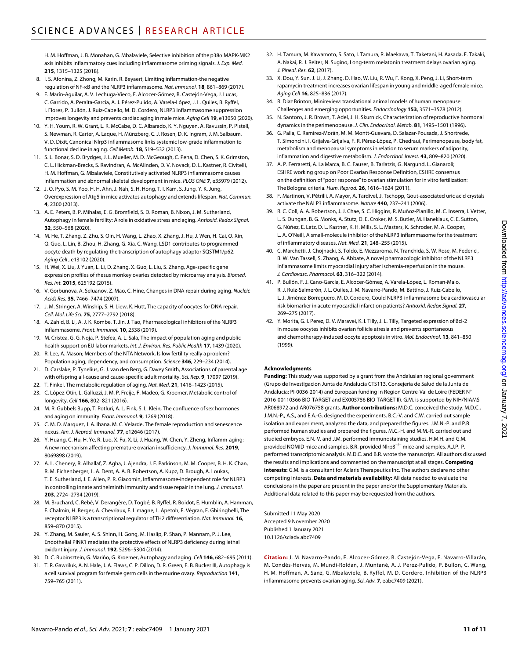H. M. Hoffman, J. B. Monahan, G. Mbalaviele, Selective inhibition of the p38 $\alpha$  MAPK-MK2 axis inhibits inflammatory cues including inflammasome priming signals. *J. Exp. Med.* **215**, 1315–1325 (2018).

- 8. I. S. Afonina, Z. Zhong, M. Karin, R. Beyaert, Limiting inflammation-the negative regulation of NF-B and the NLRP3 inflammasome. *Nat. Immunol.* **18**, 861–869 (2017).
- 9. F. Marín-Aguilar, A. V. Lechuga-Vieco, E. Alcocer-Gómez, B. Castejón-Vega, J. Lucas, C. Garrido, A. Peralta-Garcia, A. J. Pérez-Pulido, A. Varela-López, J. L. Quiles, B. Ryffel, I. Flores, P. Bullón, J. Ruiz-Cabello, M. D. Cordero, NLRP3 inflammasome suppression improves longevity and prevents cardiac aging in male mice. *Aging Cell* **19**, e13050 (2020).
- 10. Y. H. Youm, R. W. Grant, L. R. McCabe, D. C. Albarado, K. Y. Nguyen, A. Ravussin, P. Pistell, S. Newman, R. Carter, A. Laque, H. Münzberg, C. J. Rosen, D. K. Ingram, J. M. Salbaum, V. D. Dixit, Canonical Nlrp3 inflammasome links systemic low-grade inflammation to functional decline in aging. *Cell Metab.* **18**, 519–532 (2013).
- 11. S. L. Bonar, S. D. Brydges, J. L. Mueller, M. D. McGeough, C. Pena, D. Chen, S. K. Grimston, C. L. Hickman-Brecks, S. Ravindran, A. McAlinden, D. V. Novack, D. L. Kastner, R. Civitelli, H. M. Hoffman, G. Mbalaviele, Constitutively activated NLRP3 inflammasome causes inflammation and abnormal skeletal development in mice. *PLOS ONE* **7**, e35979 (2012).
- 12. J. O. Pyo, S. M. Yoo, H. H. Ahn, J. Nah, S. H. Hong, T. I. Kam, S. Jung, Y. K. Jung, Overexpression of Atg5 in mice activates autophagy and extends lifespan. *Nat. Commun.* **4**, 2300 (2013).
- 13. A. E. Peters, B. P. Mihalas, E. G. Bromfield, S. D. Roman, B. Nixon, J. M. Sutherland, Autophagy in female fertility: A role in oxidative stress and aging. *Antioxid. Redox Signal.* **32**, 550–568 (2020).
- 14. M. He, T. Zhang, Z. Zhu, S. Qin, H. Wang, L. Zhao, X. Zhang, J. Hu, J. Wen, H. Cai, Q. Xin, Q. Guo, L. Lin, B. Zhou, H. Zhang, G. Xia, C. Wang, LSD1 contributes to programmed oocyte death by regulating the transcription of autophagy adaptor SQSTM1/p62. *Aging Cell* , e13102 (2020).
- 15. H. Wei, X. Liu, J. Yuan, L. Li, D. Zhang, X. Guo, L. Liu, S. Zhang, Age-specific gene expression profiles of rhesus monkey ovaries detected by microarray analysis. *Biomed. Res. Int.* **2015**, 625192 (2015).
- 16. V. Gorbunova, A. Seluanov, Z. Mao, C. Hine, Changes in DNA repair during aging. *Nucleic Acids Res.* **35**, 7466–7474 (2007).
- 17. J. M. Stringer, A. Winship, S. H. Liew, K. Hutt, The capacity of oocytes for DNA repair. *Cell. Mol. Life Sci.* **75**, 2777–2792 (2018).
- 18. A. Zahid, B. Li, A. J. K. Kombe, T. Jin, J. Tao, Pharmacological inhibitors of the NLRP3 inflammasome. *Front. Immunol.* **10**, 2538 (2019).
- 19. M. Cristea, G. G. Noja, P. Stefea, A. L. Sala, The impact of population aging and public health support on EU labor markets. *Int. J. Environ. Res. Public Health* **17**, 1439 (2020).
- 20. R. Lee, A. Mason; Members of the NTA Network, Is low fertility really a problem? Population aging, dependency, and consumption. *Science* **346**, 229–234 (2014).
- 21. D. Carslake, P. Tynelius, G. J. van den Berg, G. Davey Smith, Associations of parental age with offspring all-cause and cause-specific adult mortality. *Sci. Rep.* **9**, 17097 (2019).
- 22. T. Finkel, The metabolic regulation of aging. *Nat. Med.* **21**, 1416–1423 (2015).
- 23. C. López-Otín, L. Galluzzi, J. M. P. Freije, F. Madeo, G. Kroemer, Metabolic control of longevity. *Cell* **166**, 802–821 (2016).
- 24. M. R. Gubbels Bupp, T. Potluri, A. L. Fink, S. L. Klein, The confluence of sex hormones and aging on immunity. *Front. Immunol.* **9**, 1269 (2018).
- 25. C. M. D. Marquez, J. A. Ibana, M. C. Velarde, The female reproduction and senescence nexus. *Am. J. Reprod. Immunol.* **77**, e12646 (2017).
- 26. Y. Huang, C. Hu, H. Ye, R. Luo, X. Fu, X. Li, J. Huang, W. Chen, Y. Zheng, Inflamm-aging: A new mechanism affecting premature ovarian insufficiency. *J. Immunol. Res.* **2019**, 8069898 (2019).
- 27. A. L. Chenery, R. Alhallaf, Z. Agha, J. Ajendra, J. E. Parkinson, M. M. Cooper, B. H. K. Chan, R. M. Eichenberger, L. A. Dent, A. A. B. Robertson, A. Kupz, D. Brough, A. Loukas, T. E. Sutherland, J. E. Allen, P. R. Giacomin, Inflammasome-independent role for NLRP3 in controlling innate antihelminth immunity and tissue repair in the lung. *J. Immunol.* **203**, 2724–2734 (2019).
- 28. M. Bruchard, C. Rebé, V. Derangère, D. Togbé, B. Ryffel, R. Boidot, E. Humblin, A. Hamman, F. Chalmin, H. Berger, A. Chevriaux, E. Limagne, L. Apetoh, F. Végran, F. Ghiringhelli, The receptor NLRP3 is a transcriptional regulator of TH2 differentiation. *Nat. Immunol.* **16**, 859–870 (2015).
- 29. Y. Zhang, M. Sauler, A. S. Shinn, H. Gong, M. Haslip, P. Shan, P. Mannam, P. J. Lee, Endothelial PINK1 mediates the protective effects of NLRP3 deficiency during lethal oxidant injury. *J. Immunol.* **192**, 5296–5304 (2014).
- 30. D. C. Rubinsztein, G. Mariño, G. Kroemer, Autophagy and aging. *Cell* **146**, 682–695 (2011).
- 31. T. R. Gawriluk, A. N. Hale, J. A. Flaws, C. P. Dillon, D. R. Green, E. B. Rucker III, Autophagy is a cell survival program for female germ cells in the murine ovary. *Reproduction* **141**, 759–765 (2011).
- 32. H. Tamura, M. Kawamoto, S. Sato, I. Tamura, R. Maekawa, T. Taketani, H. Aasada, E. Takaki, A. Nakai, R. J. Reiter, N. Sugino, Long-term melatonin treatment delays ovarian aging. *J. Pineal. Res.* **62**, (2017).
- 33. X. Dou, Y. Sun, J. Li, J. Zhang, D. Hao, W. Liu, R. Wu, F. Kong, X. Peng, J. Li, Short-term rapamycin treatment increases ovarian lifespan in young and middle-aged female mice. *Aging Cell* **16**, 825–836 (2017).
- 34. R. Diaz Brinton, Minireview: translational animal models of human menopause: Challenges and emerging opportunities. *Endocrinology* **153**, 3571–3578 (2012).
- 35. N. Santoro, J. R. Brown, T. Adel, J. H. Skurnick, Characterization of reproductive hormonal dynamics in the perimenopause. *J. Clin. Endocrinol. Metab.* **81**, 1495–1501 (1996).
- 36. G. Palla, C. Ramírez-Morán, M. M. Montt-Guevara, D. Salazar-Pousada, J. Shortrede, T. Simoncini, I. Grijalva-Grijalva, F. R. Pérez-López, P. Chedraui, Perimenopause, body fat, metabolism and menopausal symptoms in relation to serum markers of adiposity, inflammation and digestive metabolism. *J. Endocrinol. Invest.* **43**, 809–820 (2020).
- 37. A. P. Ferraretti, A. La Marca, B. C. Fauser, B. Tarlatzis, G. Nargund, L. Gianaroli; ESHRE working group on Poor Ovarian Response Definition, ESHRE consensus on the definition of"poor response" to ovarian stimulation for in vitro fertilization: The Bologna criteria. *Hum. Reprod.* **26**, 1616–1624 (2011).
- 38. F. Martinon, V. Pétrilli, A. Mayor, A. Tardivel, J. Tschopp, Gout-associated uric acid crystals activate the NALP3 inflammasome. *Nature* **440**, 237–241 (2006).
- 39. R. C. Coll, A. A. Robertson, J. J. Chae, S. C. Higgins, R. Muñoz-Planillo, M. C. Inserra, I. Vetter, L. S. Dungan, B. G. Monks, A. Stutz, D. E. Croker, M. S. Butler, M. Haneklaus, C. E. Sutton, G. Núñez, E. Latz, D. L. Kastner, K. H. Mills, S. L. Masters, K. Schroder, M. A. Cooper, L. A. O'Neill, A small-molecule inhibitor of the NLRP3 inflammasome for the treatment of inflammatory diseases. *Nat. Med.* **21**, 248–255 (2015).
- 40. C. Marchetti, J. Chojnacki, S. Toldo, E. Mezzaroma, N. Tranchida, S. W. Rose, M. Federici, B. W. Van Tassell, S. Zhang, A. Abbate, A novel pharmacologic inhibitor of the NLRP3 inflammasome limits myocardial injury after ischemia-reperfusion in the mouse. *J. Cardiovasc. Pharmacol.* **63**, 316–322 (2014).
- 41. P. Bullón, F. J. Cano-García, E. Alcocer-Gómez, A. Varela-López, L. Roman-Malo, R. J. Ruiz-Salmerón, J. L. Quiles, J. M. Navarro-Pando, M. Battino, J. Ruiz-Cabello, L. J. Jiménez-Borreguero, M. D. Cordero, Could NLRP3-inflammasome be a cardiovascular risk biomarker in acute myocardial infarction patients? *Antioxid. Redox Signal.* **27**, 269–275 (2017).
- 42. Y. Morita, G. I. Perez, D. V. Maravei, K. I. Tilly, J. L. Tilly, Targeted expression of Bcl-2 in mouse oocytes inhibits ovarian follicle atresia and prevents spontaneous and chemotherapy-induced oocyte apoptosis in vitro. *Mol. Endocrinol.* **13**, 841–850 (1999).

#### **Acknowledgments**

**Funding:** This study was supported by a grant from the Andalusian regional government (Grupo de Investigacion Junta de Andalucia CTS113, Consejería de Salud de la Junta de Andalucia: PI-0036-2014) and European funding in Region Centre-Val de Loire (FEDER N° 2016-00110366 BIO-TARGET and EX005756 BIO-TARGET II). G.M. is supported by NIH/NIAMS AR068972 and AR076758 grants. **Author contributions:** M.D.C. conceived the study. M.D.C., J.M.N.-P., A.S., and E.A.-G. designed the experiments. B.C.-V. and C.W. carried out sample isolation and experiment, analyzed the data, and prepared the figures. J.M.N.-P. and P.B. performed human studies and prepared the figures. M.C.-H. and M.M.-R. carried out and studied embryos. E.N.-V. and J.M. performed immunostaining studies. H.M.H. and G.M. provided NOMID mice and samples. B.R. provided Nlrp3<sup>-/−</sup> mice and samples. A.J.P.-P. performed transcriptomic analysis. M.D.C. and B.R. wrote the manuscript. All authors discussed the results and implications and commented on the manuscript at all stages. **Competing interests:** G.M. is a consultant for Aclaris Therapeutics Inc. The authors declare no other competing interests. **Data and materials availability:** All data needed to evaluate the conclusions in the paper are present in the paper and/or the Supplementary Materials. Additional data related to this paper may be requested from the authors.

Submitted 11 May 2020 Accepted 9 November 2020 Published 1 January 2021 10.1126/sciadv.abc7409

**Citation:** J. M. Navarro-Pando, E. Alcocer-Gómez, B. Castejón-Vega, E. Navarro-Villarán, M. Condés-Hervás, M. Mundi-Roldan, J. Muntané, A. J. Pérez-Pulido, P. Bullon, C. Wang, H. M. Hoffman, A. Sanz, G. Mbalaviele, B. Ryffel, M. D. Cordero, Inhibition of the NLRP3 inflammasome prevents ovarian aging. *Sci. Adv.* **7**, eabc7409 (2021).